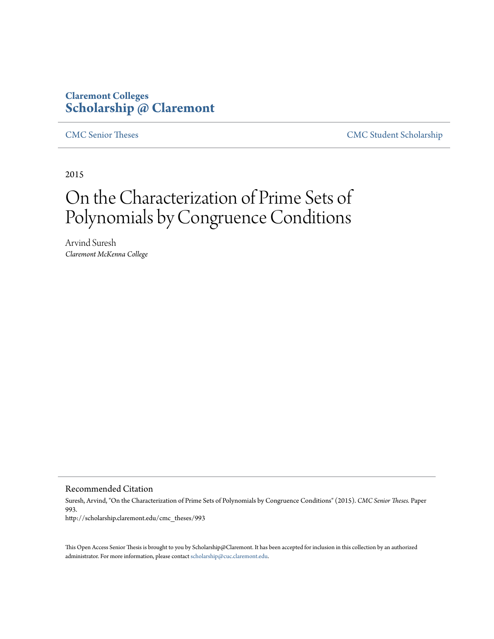## **Claremont Colleges [Scholarship @ Claremont](http://scholarship.claremont.edu)**

[CMC Senior Theses](http://scholarship.claremont.edu/cmc_theses) [CMC Student Scholarship](http://scholarship.claremont.edu/cmc_student)

2015

# On the Characterization of Prime Sets of Polynomials by Congruence Conditions

Arvind Suresh *Claremont McKenna College*

Recommended Citation

Suresh, Arvind, "On the Characterization of Prime Sets of Polynomials by Congruence Conditions" (2015). *CMC Senior Theses.* Paper 993. http://scholarship.claremont.edu/cmc\_theses/993

This Open Access Senior Thesis is brought to you by Scholarship@Claremont. It has been accepted for inclusion in this collection by an authorized administrator. For more information, please contact [scholarship@cuc.claremont.edu.](mailto:scholarship@cuc.claremont.edu)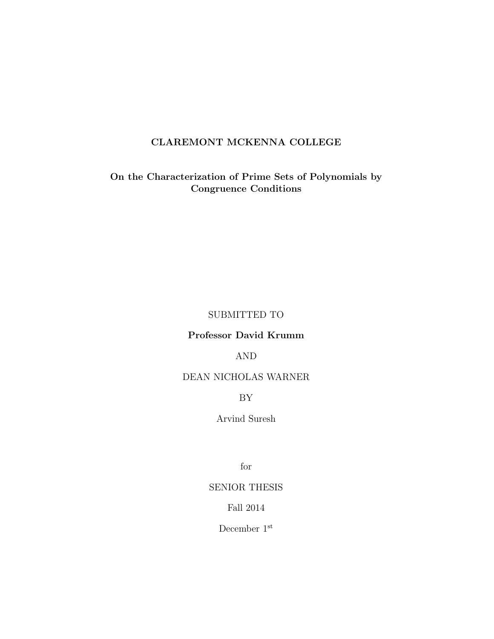### CLAREMONT MCKENNA COLLEGE

On the Characterization of Prime Sets of Polynomials by Congruence Conditions

#### SUBMITTED TO

#### Professor David Krumm

#### AND

#### DEAN NICHOLAS WARNER

#### BY

#### Arvind Suresh

for

#### SENIOR THESIS

#### Fall 2014

December 1st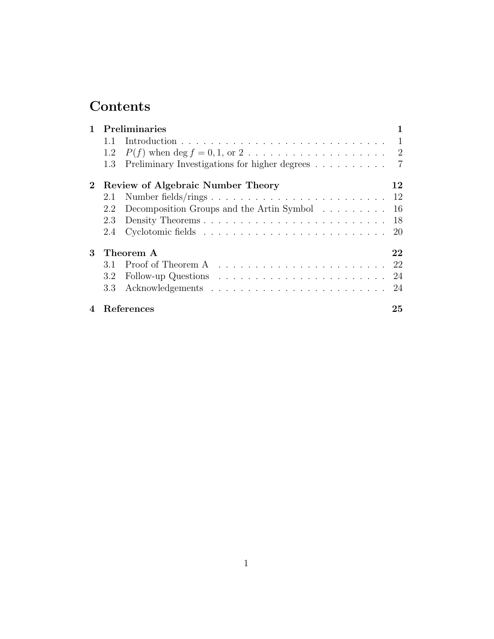## Contents

|                            | Preliminaries                     |                                                                                  |    |
|----------------------------|-----------------------------------|----------------------------------------------------------------------------------|----|
|                            | 1.1                               |                                                                                  |    |
|                            | 1.2                               |                                                                                  |    |
|                            | 1.3                               | Preliminary Investigations for higher degrees 7                                  |    |
| $2^{\circ}$                | Review of Algebraic Number Theory |                                                                                  | 12 |
|                            | 2.1                               |                                                                                  |    |
|                            | 2.2                               | Decomposition Groups and the Artin Symbol                                        | 16 |
|                            | 2.3                               |                                                                                  |    |
|                            | 2.4                               |                                                                                  | 20 |
| 3                          | Theorem A                         |                                                                                  | 22 |
|                            | 3.1                               |                                                                                  |    |
|                            | $3.2^{\circ}$                     | Follow-up Questions $\ldots \ldots \ldots \ldots \ldots \ldots \ldots \ldots 24$ |    |
|                            | 3.3                               |                                                                                  |    |
| $\boldsymbol{\mathcal{A}}$ |                                   | References                                                                       | 25 |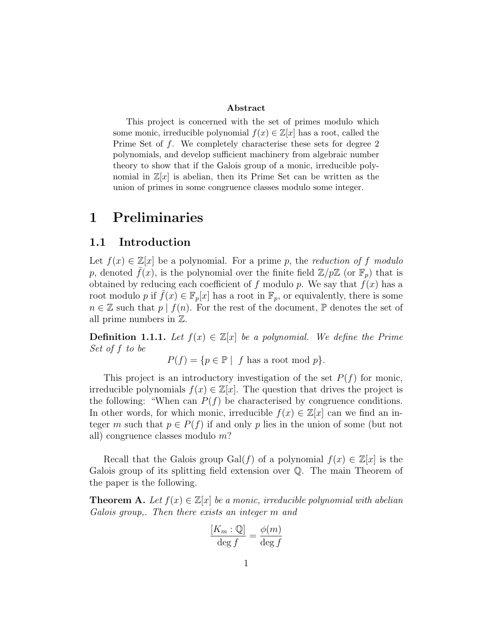#### Abstract

This project is concerned with the set of primes modulo which some monic, irreducible polynomial  $f(x) \in \mathbb{Z}[x]$  has a root, called the Prime Set of f. We completely characterise these sets for degree 2 polynomials, and develop sufficient machinery from algebraic number theory to show that if the Galois group of a monic, irreducible polynomial in  $\mathbb{Z}[x]$  is abelian, then its Prime Set can be written as the union of primes in some congruence classes modulo some integer.

## 1 Preliminaries

#### 1.1 Introduction

Let  $f(x) \in \mathbb{Z}[x]$  be a polynomial. For a prime p, the reduction of f modulo p, denoted  $f(x)$ , is the polynomial over the finite field  $\mathbb{Z}/p\mathbb{Z}$  (or  $\mathbb{F}_p$ ) that is obtained by reducing each coefficient of f modulo p. We say that  $f(x)$  has a root modulo p if  $f(x) \in \mathbb{F}_p[x]$  has a root in  $\mathbb{F}_p$ , or equivalently, there is some  $n \in \mathbb{Z}$  such that  $p \mid f(n)$ . For the rest of the document,  $\mathbb{P}$  denotes the set of all prime numbers in Z.

**Definition 1.1.1.** Let  $f(x) \in \mathbb{Z}[x]$  be a polynomial. We define the Prime Set of f to be

$$
P(f) = \{ p \in \mathbb{P} \mid f \text{ has a root mod } p \}.
$$

This project is an introductory investigation of the set  $P(f)$  for monic, irreducible polynomials  $f(x) \in \mathbb{Z}[x]$ . The question that drives the project is the following: "When can  $P(f)$  be characterised by congruence conditions. In other words, for which monic, irreducible  $f(x) \in \mathbb{Z}[x]$  can we find an integer m such that  $p \in P(f)$  if and only p lies in the union of some (but not all) congruence classes modulo m?

Recall that the Galois group Gal(f) of a polynomial  $f(x) \in \mathbb{Z}[x]$  is the Galois group of its splitting field extension over Q. The main Theorem of the paper is the following.

**Theorem A.** Let  $f(x) \in \mathbb{Z}[x]$  be a monic, irreducible polynomial with abelian Galois group,. Then there exists an integer m and

$$
\frac{[K_m:\mathbb{Q}]}{\deg f} = \frac{\phi(m)}{\deg f}
$$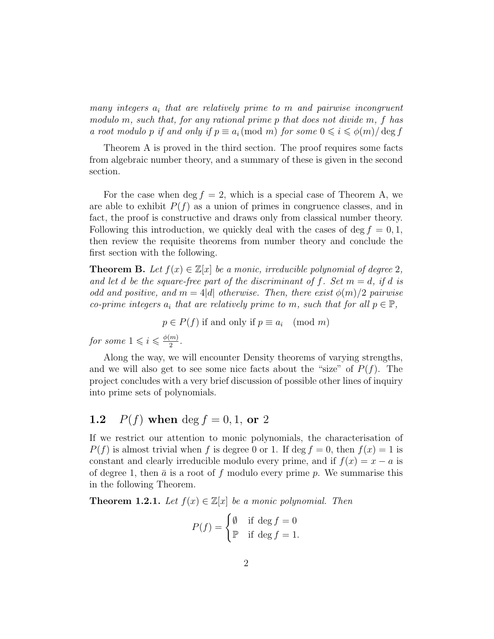many integers  $a_i$  that are relatively prime to m and pairwise incongruent modulo m, such that, for any rational prime p that does not divide m, f has a root modulo p if and only if  $p \equiv a_i \pmod{m}$  for some  $0 \leq i \leq \phi(m)/\deg f$ 

Theorem A is proved in the third section. The proof requires some facts from algebraic number theory, and a summary of these is given in the second section.

For the case when deg  $f = 2$ , which is a special case of Theorem A, we are able to exhibit  $P(f)$  as a union of primes in congruence classes, and in fact, the proof is constructive and draws only from classical number theory. Following this introduction, we quickly deal with the cases of deg  $f = 0, 1$ , then review the requisite theorems from number theory and conclude the first section with the following.

**Theorem B.** Let  $f(x) \in \mathbb{Z}[x]$  be a monic, irreducible polynomial of degree 2, and let d be the square-free part of the discriminant of f. Set  $m = d$ , if d is odd and positive, and  $m = 4|d|$  otherwise. Then, there exist  $\phi(m)/2$  pairwise co-prime integers  $a_i$  that are relatively prime to m, such that for all  $p \in \mathbb{P}$ ,

$$
p \in P(f)
$$
 if and only if  $p \equiv a_i \pmod{m}$ 

for some  $1 \leqslant i \leqslant \frac{\phi(m)}{2}$  $\frac{m)}{2}$ .

Along the way, we will encounter Density theorems of varying strengths, and we will also get to see some nice facts about the "size" of  $P(f)$ . The project concludes with a very brief discussion of possible other lines of inquiry into prime sets of polynomials.

## **1.2**  $P(f)$  when deg  $f = 0, 1$ , or 2

If we restrict our attention to monic polynomials, the characterisation of  $P(f)$  is almost trivial when f is degree 0 or 1. If deg  $f = 0$ , then  $f(x) = 1$  is constant and clearly irreducible modulo every prime, and if  $f(x) = x - a$  is of degree 1, then  $\bar{a}$  is a root of f modulo every prime p. We summarise this in the following Theorem.

**Theorem 1.2.1.** Let  $f(x) \in \mathbb{Z}[x]$  be a monic polynomial. Then

$$
P(f) = \begin{cases} \emptyset & \text{if } \deg f = 0 \\ \mathbb{P} & \text{if } \deg f = 1. \end{cases}
$$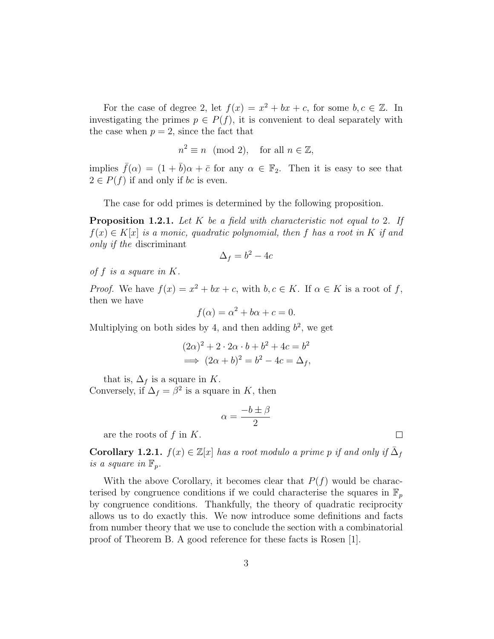For the case of degree 2, let  $f(x) = x^2 + bx + c$ , for some  $b, c \in \mathbb{Z}$ . In investigating the primes  $p \in P(f)$ , it is convenient to deal separately with the case when  $p = 2$ , since the fact that

$$
n^2 \equiv n \pmod{2}, \quad \text{for all } n \in \mathbb{Z},
$$

implies  $\bar{f}(\alpha) = (1 + \bar{b})\alpha + \bar{c}$  for any  $\alpha \in \mathbb{F}_2$ . Then it is easy to see that  $2 \in P(f)$  if and only if bc is even.

The case for odd primes is determined by the following proposition.

**Proposition 1.2.1.** Let K be a field with characteristic not equal to 2. If  $f(x) \in K[x]$  is a monic, quadratic polynomial, then f has a root in K if and only if the discriminant

$$
\Delta_f = b^2 - 4c
$$

of f is a square in K.

*Proof.* We have  $f(x) = x^2 + bx + c$ , with  $b, c \in K$ . If  $\alpha \in K$  is a root of f, then we have

$$
f(\alpha) = \alpha^2 + b\alpha + c = 0.
$$

Multiplying on both sides by 4, and then adding  $b^2$ , we get

$$
(2\alpha)^2 + 2 \cdot 2\alpha \cdot b + b^2 + 4c = b^2
$$
  

$$
\implies (2\alpha + b)^2 = b^2 - 4c = \Delta_f,
$$

that is,  $\Delta_f$  is a square in K.

Conversely, if  $\Delta_f = \beta^2$  is a square in K, then

$$
\alpha = \frac{-b \pm \beta}{2}
$$

are the roots of  $f$  in  $K$ .

**Corollary 1.2.1.**  $f(x) \in \mathbb{Z}[x]$  has a root modulo a prime p if and only if  $\overline{\Delta}_f$ is a square in  $\mathbb{F}_p$ .

With the above Corollary, it becomes clear that  $P(f)$  would be characterised by congruence conditions if we could characterise the squares in  $\mathbb{F}_p$ by congruence conditions. Thankfully, the theory of quadratic reciprocity allows us to do exactly this. We now introduce some definitions and facts from number theory that we use to conclude the section with a combinatorial proof of Theorem B. A good reference for these facts is Rosen [1].

 $\Box$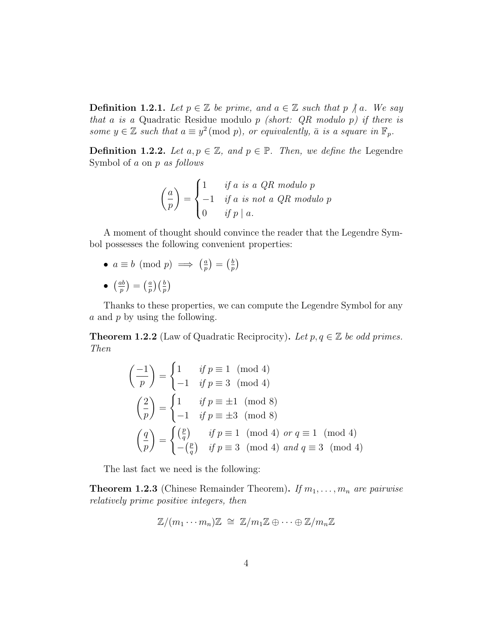**Definition 1.2.1.** Let  $p \in \mathbb{Z}$  be prime, and  $a \in \mathbb{Z}$  such that  $p \nmid a$ . We say that a is a Quadratic Residue modulo p (short:  $QR$  modulo p) if there is some  $y \in \mathbb{Z}$  such that  $a \equiv y^2 \pmod{p}$ , or equivalently,  $\bar{a}$  is a square in  $\mathbb{F}_p$ .

**Definition 1.2.2.** Let  $a, p \in \mathbb{Z}$ , and  $p \in \mathbb{P}$ . Then, we define the Legendre Symbol of a on p as follows

$$
\left(\frac{a}{p}\right) = \begin{cases} 1 & \text{if } a \text{ is a QR modulo } p \\ -1 & \text{if } a \text{ is not a QR modulo } p \\ 0 & \text{if } p \mid a. \end{cases}
$$

A moment of thought should convince the reader that the Legendre Symbol possesses the following convenient properties:

- $a \equiv b \pmod{p} \implies \left(\frac{a}{n}\right)$  $\left(\frac{a}{p}\right) = \left(\frac{b}{p}\right)$  $\frac{b}{p}$
- $\bullet$   $\left(\frac{ab}{n}\right)$  $\left(\frac{ab}{p}\right)=\left(\frac{a}{p}\right)$  $\binom{a}{p}$  $\left(\frac{b}{p}\right)$

Thanks to these properties, we can compute the Legendre Symbol for any a and p by using the following.

**Theorem 1.2.2** (Law of Quadratic Reciprocity). Let  $p, q \in \mathbb{Z}$  be odd primes. Then

$$
\begin{pmatrix} -1 \\ p \end{pmatrix} = \begin{cases} 1 & \text{if } p \equiv 1 \pmod{4} \\ -1 & \text{if } p \equiv 3 \pmod{4} \end{cases}
$$

$$
\begin{pmatrix} 2 \\ p \end{pmatrix} = \begin{cases} 1 & \text{if } p \equiv \pm 1 \pmod{8} \\ -1 & \text{if } p \equiv \pm 3 \pmod{8} \end{cases}
$$

$$
\begin{pmatrix} \frac{q}{p} \end{pmatrix} = \begin{cases} \begin{pmatrix} \frac{p}{q} \end{pmatrix} & \text{if } p \equiv 1 \pmod{4} \text{ or } q \equiv 1 \pmod{4} \\ -\begin{pmatrix} \frac{p}{q} \end{pmatrix} & \text{if } p \equiv 3 \pmod{4} \text{ and } q \equiv 3 \pmod{4} \end{cases}
$$

The last fact we need is the following:

**Theorem 1.2.3** (Chinese Remainder Theorem). If  $m_1, \ldots, m_n$  are pairwise relatively prime positive integers, then

$$
\mathbb{Z}/(m_1\cdots m_n)\mathbb{Z} \cong \mathbb{Z}/m_1\mathbb{Z} \oplus \cdots \oplus \mathbb{Z}/m_n\mathbb{Z}
$$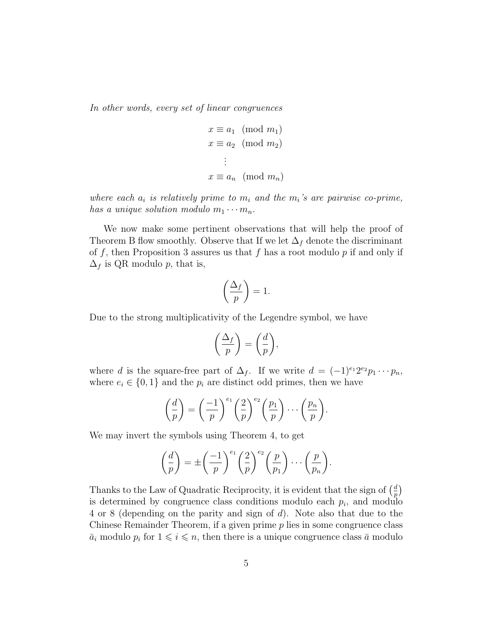In other words, every set of linear congruences

$$
x \equiv a_1 \pmod{m_1}
$$

$$
x \equiv a_2 \pmod{m_2}
$$

$$
\vdots
$$

$$
x \equiv a_n \pmod{m_n}
$$

where each  $a_i$  is relatively prime to  $m_i$  and the  $m_i$ 's are pairwise co-prime, has a unique solution modulo  $m_1 \cdots m_n$ .

We now make some pertinent observations that will help the proof of Theorem B flow smoothly. Observe that If we let  $\Delta_f$  denote the discriminant of f, then Proposition 3 assures us that f has a root modulo  $p$  if and only if  $\Delta_f$  is QR modulo p, that is,

$$
\left(\frac{\Delta_f}{p}\right) = 1.
$$

Due to the strong multiplicativity of the Legendre symbol, we have

$$
\left(\frac{\Delta_f}{p}\right) = \left(\frac{d}{p}\right),\,
$$

where d is the square-free part of  $\Delta_f$ . If we write  $d = (-1)^{e_1} 2^{e_2} p_1 \cdots p_n$ , where  $e_i \in \{0,1\}$  and the  $p_i$  are distinct odd primes, then we have

$$
\left(\frac{d}{p}\right) = \left(\frac{-1}{p}\right)^{e_1} \left(\frac{2}{p}\right)^{e_2} \left(\frac{p_1}{p}\right) \cdots \left(\frac{p_n}{p}\right).
$$

We may invert the symbols using Theorem 4, to get

$$
\left(\frac{d}{p}\right) = \pm \left(\frac{-1}{p}\right)^{e_1} \left(\frac{2}{p}\right)^{e_2} \left(\frac{p}{p_1}\right) \cdots \left(\frac{p}{p_n}\right).
$$

Thanks to the Law of Quadratic Reciprocity, it is evident that the sign of  $\left(\frac{d}{n}\right)$  $\frac{d}{p}\Big)$ is determined by congruence class conditions modulo each  $p_i$ , and modulo 4 or 8 (depending on the parity and sign of d). Note also that due to the Chinese Remainder Theorem, if a given prime  $p$  lies in some congruence class  $\bar{a}_i$  modulo  $p_i$  for  $1 \leq i \leq n$ , then there is a unique congruence class  $\bar{a}$  modulo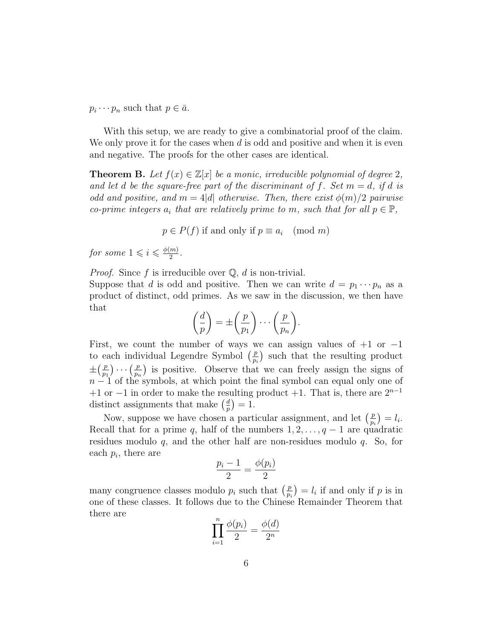$p_i \cdots p_n$  such that  $p \in \bar{a}$ .

With this setup, we are ready to give a combinatorial proof of the claim. We only prove it for the cases when  $d$  is odd and positive and when it is even and negative. The proofs for the other cases are identical.

**Theorem B.** Let  $f(x) \in \mathbb{Z}[x]$  be a monic, irreducible polynomial of degree 2, and let d be the square-free part of the discriminant of f. Set  $m = d$ , if d is odd and positive, and  $m = 4|d|$  otherwise. Then, there exist  $\phi(m)/2$  pairwise co-prime integers  $a_i$  that are relatively prime to m, such that for all  $p \in \mathbb{P}$ ,

 $p \in P(f)$  if and only if  $p \equiv a_i \pmod{m}$ 

for some  $1 \leqslant i \leqslant \frac{\phi(m)}{2}$  $\frac{m)}{2}$ .

*Proof.* Since f is irreducible over  $\mathbb{Q}$ , d is non-trivial.

Suppose that d is odd and positive. Then we can write  $d = p_1 \cdots p_n$  as a product of distinct, odd primes. As we saw in the discussion, we then have that

$$
\left(\frac{d}{p}\right) = \pm \left(\frac{p}{p_1}\right) \cdots \left(\frac{p}{p_n}\right).
$$

First, we count the number of ways we can assign values of  $+1$  or  $-1$ to each individual Legendre Symbol  $\left(\frac{p}{p}\right)$  $\frac{p}{p_i}$  such that the resulting product  $\pm(\frac{p}{p})$  $\frac{p}{p_1}\bigg)\cdots\Big(\frac{p}{p_r}$  $\frac{p}{p_n}$  is positive. Observe that we can freely assign the signs of  $n-1$  of the symbols, at which point the final symbol can equal only one of +1 or −1 in order to make the resulting product +1. That is, there are  $2^{n-1}$ distinct assignments that make  $\left(\frac{d}{n}\right)$  $\frac{d}{p}$ ) = 1.

Now, suppose we have chosen a particular assignment, and let  $\left(\frac{p}{n}\right)$  $\left(\frac{p}{p_i}\right) = l_i.$ Recall that for a prime q, half of the numbers  $1, 2, \ldots, q-1$  are quadratic residues modulo  $q$ , and the other half are non-residues modulo  $q$ . So, for each  $p_i$ , there are

$$
\frac{p_i - 1}{2} = \frac{\phi(p_i)}{2}
$$

many congruence classes modulo  $p_i$  such that  $\left(\frac{p}{p}\right)$  $\left(\frac{p}{p_i}\right) = l_i$  if and only if p is in one of these classes. It follows due to the Chinese Remainder Theorem that there are

$$
\prod_{i=1}^n \frac{\phi(p_i)}{2} = \frac{\phi(d)}{2^n}
$$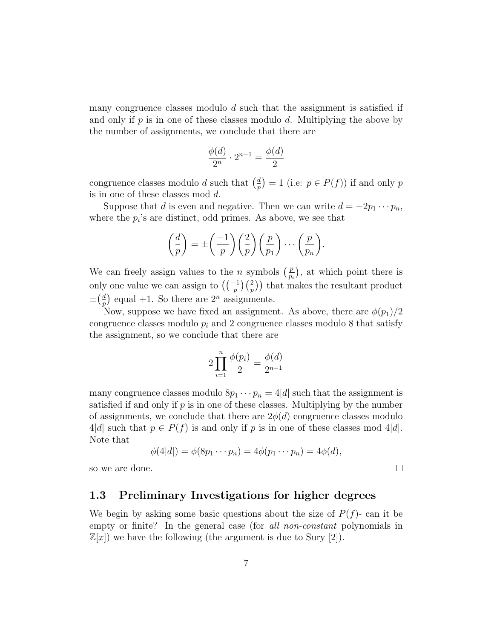many congruence classes modulo  $d$  such that the assignment is satisfied if and only if  $p$  is in one of these classes modulo  $d$ . Multiplying the above by the number of assignments, we conclude that there are

$$
\frac{\phi(d)}{2^n} \cdot 2^{n-1} = \frac{\phi(d)}{2}
$$

congruence classes modulo d such that  $\left(\frac{d}{n}\right)$  $\binom{d}{p} = 1$  (i.e:  $p \in P(f)$ ) if and only p is in one of these classes mod d.

Suppose that d is even and negative. Then we can write  $d = -2p_1 \cdots p_n$ , where the  $p_i$ 's are distinct, odd primes. As above, we see that

$$
\left(\frac{d}{p}\right) = \pm \left(\frac{-1}{p}\right) \left(\frac{2}{p}\right) \left(\frac{p}{p_1}\right) \cdots \left(\frac{p}{p_n}\right).
$$

We can freely assign values to the *n* symbols  $\left(\frac{p}{n}\right)$  $\frac{p}{p_i}$ , at which point there is only one value we can assign to  $\left(\left(\frac{-1}{p}\right)\left(\frac{2}{p}\right)\right)$  that makes the resultant product  $\pm(\frac{d}{n})$  $\frac{d}{p}$  equal +1. So there are  $2^n$  assignments.

Now, suppose we have fixed an assignment. As above, there are  $\phi(p_1)/2$ congruence classes modulo  $p_i$  and 2 congruence classes modulo 8 that satisfy the assignment, so we conclude that there are

$$
2\prod_{i=1}^{n} \frac{\phi(p_i)}{2} = \frac{\phi(d)}{2^{n-1}}
$$

many congruence classes modulo  $8p_1 \cdots p_n = 4|d|$  such that the assignment is satisfied if and only if  $p$  is in one of these classes. Multiplying by the number of assignments, we conclude that there are  $2\phi(d)$  congruence classes modulo  $4|d|$  such that  $p \in P(f)$  is and only if p is in one of these classes mod 4|d|. Note that

$$
\phi(4|d|) = \phi(8p_1 \cdots p_n) = 4\phi(p_1 \cdots p_n) = 4\phi(d),
$$

 $\Box$ 

so we are done.

#### 1.3 Preliminary Investigations for higher degrees

We begin by asking some basic questions about the size of  $P(f)$ - can it be empty or finite? In the general case (for *all non-constant* polynomials in  $\mathbb{Z}[x]$  we have the following (the argument is due to Sury [2]).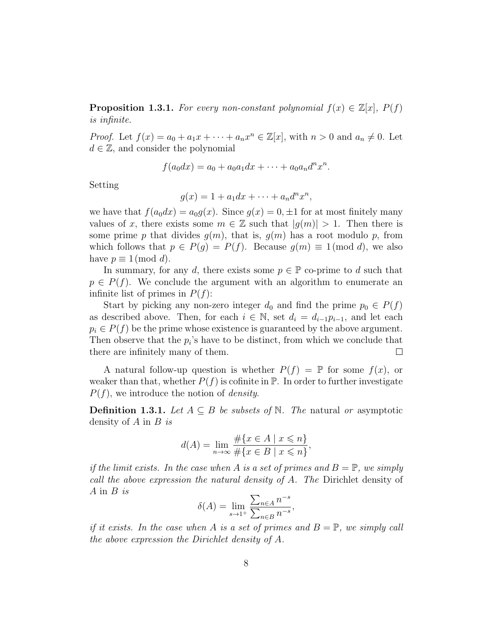**Proposition 1.3.1.** For every non-constant polynomial  $f(x) \in \mathbb{Z}[x]$ ,  $P(f)$ is infinite.

*Proof.* Let  $f(x) = a_0 + a_1x + \cdots + a_nx^n \in \mathbb{Z}[x]$ , with  $n > 0$  and  $a_n \neq 0$ . Let  $d \in \mathbb{Z}$ , and consider the polynomial

$$
f(a_0 dx) = a_0 + a_0 a_1 dx + \dots + a_0 a_n d^n x^n.
$$

Setting

$$
g(x) = 1 + a_1 dx + \cdots + a_n d^n x^n,
$$

we have that  $f(a_0dx) = a_0g(x)$ . Since  $g(x) = 0, \pm 1$  for at most finitely many values of x, there exists some  $m \in \mathbb{Z}$  such that  $|g(m)| > 1$ . Then there is some prime p that divides  $g(m)$ , that is,  $g(m)$  has a root modulo p, from which follows that  $p \in P(g) = P(f)$ . Because  $g(m) \equiv 1 \pmod{d}$ , we also have  $p \equiv 1 \pmod{d}$ .

In summary, for any d, there exists some  $p \in \mathbb{P}$  co-prime to d such that  $p \in P(f)$ . We conclude the argument with an algorithm to enumerate an infinite list of primes in  $P(f)$ :

Start by picking any non-zero integer  $d_0$  and find the prime  $p_0 \in P(f)$ as described above. Then, for each  $i \in \mathbb{N}$ , set  $d_i = d_{i-1}p_{i-1}$ , and let each  $p_i \in P(f)$  be the prime whose existence is guaranteed by the above argument. Then observe that the  $p_i$ 's have to be distinct, from which we conclude that there are infinitely many of them.  $\Box$ 

A natural follow-up question is whether  $P(f) = \mathbb{P}$  for some  $f(x)$ , or weaker than that, whether  $P(f)$  is cofinite in  $\mathbb P$ . In order to further investigate  $P(f)$ , we introduce the notion of *density*.

**Definition 1.3.1.** Let  $A \subseteq B$  be subsets of N. The natural or asymptotic density of  $A$  in  $B$  is

$$
d(A) = \lim_{n \to \infty} \frac{\#\{x \in A \mid x \leq n\}}{\#\{x \in B \mid x \leq n\}},
$$

if the limit exists. In the case when A is a set of primes and  $B = \mathbb{P}$ , we simply call the above expression the natural density of A. The Dirichlet density of  $A$  in  $B$  is

$$
\delta(A) = \lim_{s \to 1^+} \frac{\sum_{n \in A} n^{-s}}{\sum_{n \in B} n^{-s}},
$$

if it exists. In the case when A is a set of primes and  $B = \mathbb{P}$ , we simply call the above expression the Dirichlet density of A.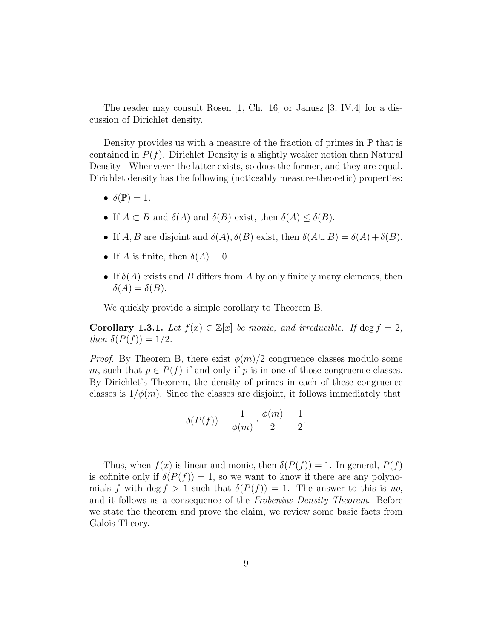The reader may consult Rosen [1, Ch. 16] or Janusz [3, IV.4] for a discussion of Dirichlet density.

Density provides us with a measure of the fraction of primes in  $\mathbb P$  that is contained in  $P(f)$ . Dirichlet Density is a slightly weaker notion than Natural Density - Whenvever the latter exists, so does the former, and they are equal. Dirichlet density has the following (noticeably measure-theoretic) properties:

- $\delta(\mathbb{P})=1$ .
- If  $A \subset B$  and  $\delta(A)$  and  $\delta(B)$  exist, then  $\delta(A) \leq \delta(B)$ .
- If A, B are disjoint and  $\delta(A)$ ,  $\delta(B)$  exist, then  $\delta(A \cup B) = \delta(A) + \delta(B)$ .
- If A is finite, then  $\delta(A) = 0$ .
- If  $\delta(A)$  exists and B differs from A by only finitely many elements, then  $\delta(A) = \delta(B).$

We quickly provide a simple corollary to Theorem B.

Corollary 1.3.1. Let  $f(x) \in \mathbb{Z}[x]$  be monic, and irreducible. If  $\deg f = 2$ , then  $\delta(P(f)) = 1/2$ .

*Proof.* By Theorem B, there exist  $\phi(m)/2$  congruence classes modulo some m, such that  $p \in P(f)$  if and only if p is in one of those congruence classes. By Dirichlet's Theorem, the density of primes in each of these congruence classes is  $1/\phi(m)$ . Since the classes are disjoint, it follows immediately that

$$
\delta(P(f)) = \frac{1}{\phi(m)} \cdot \frac{\phi(m)}{2} = \frac{1}{2}.
$$

 $\Box$ 

Thus, when  $f(x)$  is linear and monic, then  $\delta(P(f)) = 1$ . In general,  $P(f)$ is cofinite only if  $\delta(P(f)) = 1$ , so we want to know if there are any polynomials f with deg f > 1 such that  $\delta(P(f)) = 1$ . The answer to this is no, and it follows as a consequence of the Frobenius Density Theorem. Before we state the theorem and prove the claim, we review some basic facts from Galois Theory.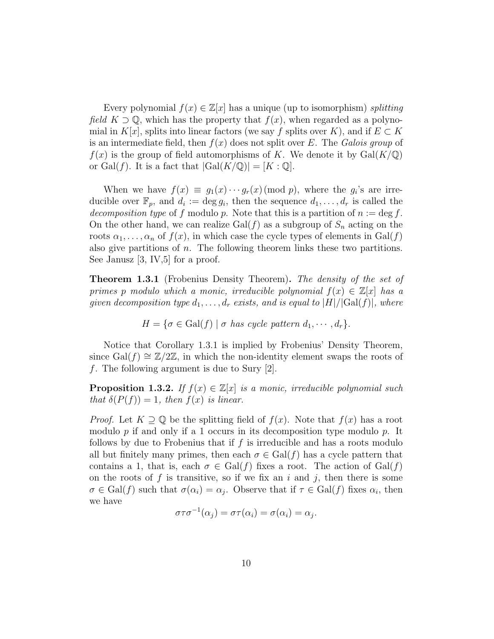Every polynomial  $f(x) \in \mathbb{Z}[x]$  has a unique (up to isomorphism) splitting field  $K \supset \mathbb{Q}$ , which has the property that  $f(x)$ , when regarded as a polynomial in K[x], splits into linear factors (we say f splits over K), and if  $E \subset K$ is an intermediate field, then  $f(x)$  does not split over E. The Galois group of  $f(x)$  is the group of field automorphisms of K. We denote it by  $Gal(K/\mathbb{Q})$ or Gal(f). It is a fact that  $|Gal(K/\mathbb{Q})| = [K:\mathbb{Q}].$ 

When we have  $f(x) \equiv g_1(x) \cdots g_r(x) \pmod{p}$ , where the  $g_i$ 's are irreducible over  $\mathbb{F}_p$ , and  $d_i := \deg g_i$ , then the sequence  $d_1, \ldots, d_r$  is called the decomposition type of f modulo p. Note that this is a partition of  $n := \deg f$ . On the other hand, we can realize  $Gal(f)$  as a subgroup of  $S_n$  acting on the roots  $\alpha_1, \ldots, \alpha_n$  of  $f(x)$ , in which case the cycle types of elements in  $Gal(f)$ also give partitions of  $n$ . The following theorem links these two partitions. See Janusz  $|3, W, 5|$  for a proof.

**Theorem 1.3.1** (Frobenius Density Theorem). The density of the set of primes p modulo which a monic, irreducible polynomial  $f(x) \in \mathbb{Z}[x]$  has a given decomposition type  $d_1, \ldots, d_r$  exists, and is equal to  $|H|/|\text{Gal}(f)|$ , where

$$
H = \{ \sigma \in Gal(f) \mid \sigma \text{ has cycle pattern } d_1, \cdots, d_r \}.
$$

Notice that Corollary 1.3.1 is implied by Frobenius' Density Theorem, since Gal(f)  $\cong \mathbb{Z}/2\mathbb{Z}$ , in which the non-identity element swaps the roots of f. The following argument is due to Sury [2].

**Proposition 1.3.2.** If  $f(x) \in \mathbb{Z}[x]$  is a monic, irreducible polynomial such that  $\delta(P(f)) = 1$ , then  $f(x)$  is linear.

*Proof.* Let  $K \supset \mathbb{Q}$  be the splitting field of  $f(x)$ . Note that  $f(x)$  has a root modulo  $p$  if and only if a 1 occurs in its decomposition type modulo  $p$ . It follows by due to Frobenius that if  $f$  is irreducible and has a roots modulo all but finitely many primes, then each  $\sigma \in \text{Gal}(f)$  has a cycle pattern that contains a 1, that is, each  $\sigma \in \text{Gal}(f)$  fixes a root. The action of  $\text{Gal}(f)$ on the roots of f is transitive, so if we fix an i and j, then there is some  $\sigma \in \text{Gal}(f)$  such that  $\sigma(\alpha_i) = \alpha_j$ . Observe that if  $\tau \in \text{Gal}(f)$  fixes  $\alpha_i$ , then we have

$$
\sigma \tau \sigma^{-1}(\alpha_j) = \sigma \tau(\alpha_i) = \sigma(\alpha_i) = \alpha_j.
$$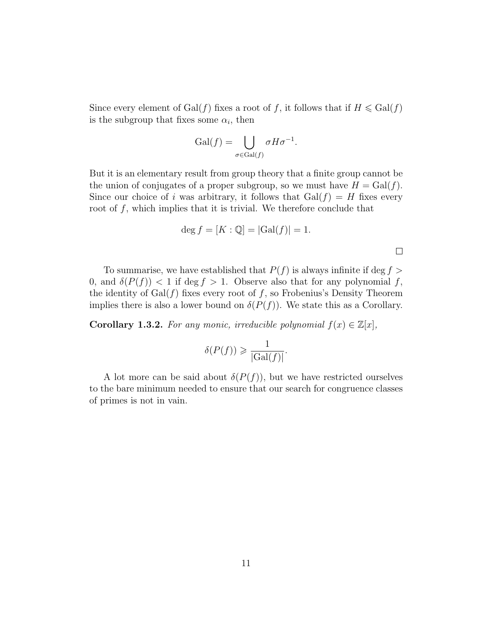Since every element of  $Gal(f)$  fixes a root of f, it follows that if  $H \leqslant Gal(f)$ is the subgroup that fixes some  $\alpha_i$ , then

$$
\mathrm{Gal}(f) = \bigcup_{\sigma \in \mathrm{Gal}(f)} \sigma H \sigma^{-1}.
$$

But it is an elementary result from group theory that a finite group cannot be the union of conjugates of a proper subgroup, so we must have  $H = \text{Gal}(f)$ . Since our choice of i was arbitrary, it follows that  $Gal(f) = H$  fixes every root of  $f$ , which implies that it is trivial. We therefore conclude that

$$
\deg f = [K : \mathbb{Q}] = |Gal(f)| = 1.
$$

 $\Box$ 

To summarise, we have established that  $P(f)$  is always infinite if deg  $f >$ 0, and  $\delta(P(f)) < 1$  if deg  $f > 1$ . Observe also that for any polynomial f, the identity of  $Gal(f)$  fixes every root of f, so Frobenius's Density Theorem implies there is also a lower bound on  $\delta(P(f))$ . We state this as a Corollary.

**Corollary 1.3.2.** For any monic, irreducible polynomial  $f(x) \in \mathbb{Z}[x]$ ,

$$
\delta(P(f)) \geqslant \frac{1}{|\text{Gal}(f)|}.
$$

A lot more can be said about  $\delta(P(f))$ , but we have restricted ourselves to the bare minimum needed to ensure that our search for congruence classes of primes is not in vain.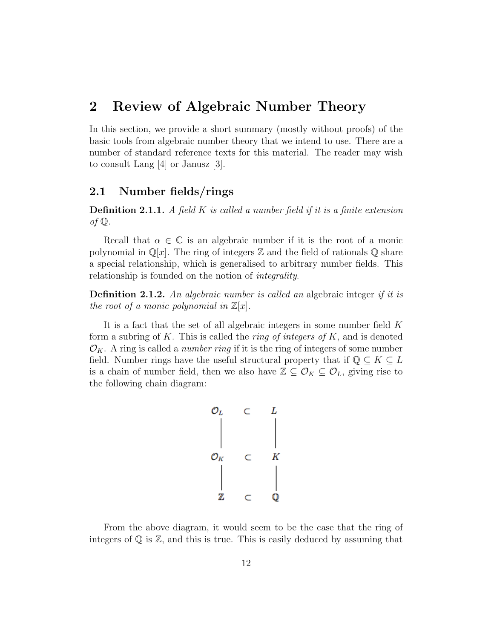## 2 Review of Algebraic Number Theory

In this section, we provide a short summary (mostly without proofs) of the basic tools from algebraic number theory that we intend to use. There are a number of standard reference texts for this material. The reader may wish to consult Lang [4] or Janusz [3].

#### 2.1 Number fields/rings

**Definition 2.1.1.** A field K is called a number field if it is a finite extension of  $\mathbb Q$ .

Recall that  $\alpha \in \mathbb{C}$  is an algebraic number if it is the root of a monic polynomial in  $\mathbb{Q}[x]$ . The ring of integers  $\mathbb Z$  and the field of rationals  $\mathbb Q$  share a special relationship, which is generalised to arbitrary number fields. This relationship is founded on the notion of integrality.

**Definition 2.1.2.** An algebraic number is called an algebraic integer if it is the root of a monic polynomial in  $\mathbb{Z}[x]$ .

It is a fact that the set of all algebraic integers in some number field K form a subring of K. This is called the *ring of integers of* K, and is denoted  $\mathcal{O}_K$ . A ring is called a *number ring* if it is the ring of integers of some number field. Number rings have the useful structural property that if  $\mathbb{Q} \subseteq K \subseteq L$ is a chain of number field, then we also have  $\mathbb{Z} \subseteq \mathcal{O}_K \subseteq \mathcal{O}_L$ , giving rise to the following chain diagram:

$$
\begin{array}{cccc}\n\mathcal{O}_L & \subset & L \\
\downarrow & & \downarrow \\
\mathcal{O}_K & \subset & K \\
\downarrow & & \downarrow \\
\mathbb{Z} & \subset & \mathbb{Q}\n\end{array}
$$

From the above diagram, it would seem to be the case that the ring of integers of  $\mathbb Q$  is  $\mathbb Z$ , and this is true. This is easily deduced by assuming that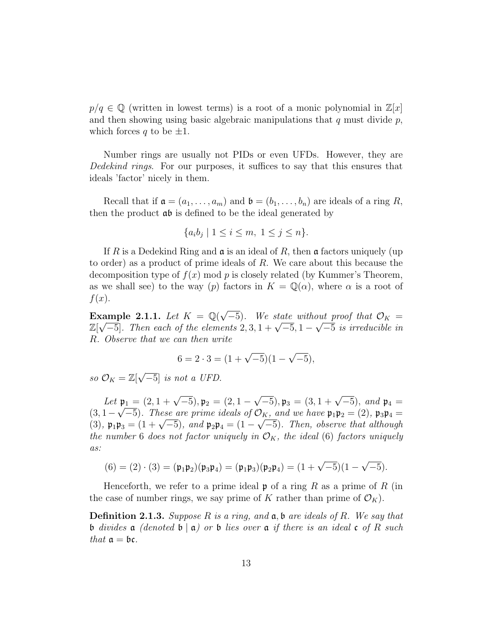$p/q \in \mathbb{Q}$  (written in lowest terms) is a root of a monic polynomial in  $\mathbb{Z}[x]$ and then showing using basic algebraic manipulations that  $q$  must divide  $p$ , which forces q to be  $\pm 1$ .

Number rings are usually not PIDs or even UFDs. However, they are Dedekind rings. For our purposes, it suffices to say that this ensures that ideals 'factor' nicely in them.

Recall that if  $\mathfrak{a} = (a_1, \ldots, a_m)$  and  $\mathfrak{b} = (b_1, \ldots, b_n)$  are ideals of a ring R, then the product ab is defined to be the ideal generated by

$$
\{a_i b_j \mid 1 \le i \le m, \ 1 \le j \le n\}.
$$

If R is a Dedekind Ring and  $\mathfrak a$  is an ideal of R, then  $\mathfrak a$  factors uniquely (up to order) as a product of prime ideals of R. We care about this because the decomposition type of  $f(x)$  mod p is closely related (by Kummer's Theorem, as we shall see) to the way (p) factors in  $K = \mathbb{Q}(\alpha)$ , where  $\alpha$  is a root of  $f(x)$ .

Example 2.1.1. Let  $K = \mathbb{Q}(\sqrt{2})$ **EXECUTE:** The U.S. of the State without proof that  $\mathcal{O}_K =$ **Example 2.1.1.** Let  $\Lambda = \mathbb{Q}(\sqrt{-5})$ . We state without proof that  $\mathbb{U}_K = \mathbb{Z}[\sqrt{-5}]$ . Then each of the elements  $2, 3, 1 + \sqrt{-5}, 1 - \sqrt{-5}$  is irreducible in R. Observe that we can then write

$$
6 = 2 \cdot 3 = (1 + \sqrt{-5})(1 - \sqrt{-5}),
$$

so  $\mathcal{O}_K = \mathbb{Z}[\sqrt{2}]$  $\overline{-5}$ ] is not a UFD.

Let  $\mathfrak{p}_1 = (2, 1 + \sqrt{-5}), \mathfrak{p}_2 = (2, 1 \mathfrak{p}_1 = (2, 1 + \sqrt{-5}), \mathfrak{p}_2 = (2, 1 - \sqrt{-5}), \mathfrak{p}_3 = (3, 1 + \sqrt{-5}),$  and  $\mathfrak{p}_4 =$  $(3, 1 - \sqrt{-5})$ . These are prime ideals of  $\mathcal{O}_K$ , and we have  $\mathfrak{p}_1 \mathfrak{p}_2 = (2)$ ,  $\mathfrak{p}_3 \mathfrak{p}_4 =$ (3, 1 –  $\sqrt{3}$ ). These are prime ideals by  $O_K$ , and we have  $\mathfrak{p}_1 \mathfrak{p}_2 = (2)$ ,  $\mathfrak{p}_3 \mathfrak{p}_4 = (3)$ ,  $\mathfrak{p}_1 \mathfrak{p}_3 = (1 + \sqrt{-5})$ , and  $\mathfrak{p}_2 \mathfrak{p}_4 = (1 - \sqrt{-5})$ . Then, observe that although the number 6 does not factor uniquely in  $\mathcal{O}_K$ , the ideal (6) factors uniquely as:

$$
(6) = (2) \cdot (3) = (\mathfrak{p}_1 \mathfrak{p}_2)(\mathfrak{p}_3 \mathfrak{p}_4) = (\mathfrak{p}_1 \mathfrak{p}_3)(\mathfrak{p}_2 \mathfrak{p}_4) = (1 + \sqrt{-5})(1 - \sqrt{-5}).
$$

Henceforth, we refer to a prime ideal  $\mathfrak p$  of a ring R as a prime of R (in the case of number rings, we say prime of K rather than prime of  $\mathcal{O}_K$ ).

**Definition 2.1.3.** Suppose R is a ring, and  $a, b$  are ideals of R. We say that b divides a (denoted  $\mathfrak{b} \mid \mathfrak{a}$ ) or b lies over a if there is an ideal c of R such that  $\mathfrak{a} = \mathfrak{bc}$ .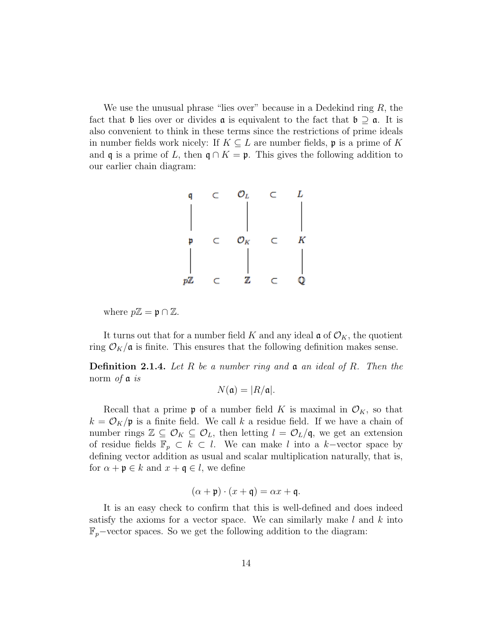We use the unusual phrase "lies over" because in a Dedekind ring  $R$ , the fact that b lies over or divides  $\alpha$  is equivalent to the fact that  $\mathfrak{b} \supseteq \alpha$ . It is also convenient to think in these terms since the restrictions of prime ideals in number fields work nicely: If  $K \subseteq L$  are number fields, p is a prime of K and q is a prime of L, then  $\mathfrak{q} \cap K = \mathfrak{p}$ . This gives the following addition to our earlier chain diagram:



where  $p\mathbb{Z} = \mathfrak{p} \cap \mathbb{Z}$ .

It turns out that for a number field K and any ideal  $\mathfrak{a}$  of  $\mathcal{O}_K$ , the quotient ring  $\mathcal{O}_K/\mathfrak{a}$  is finite. This ensures that the following definition makes sense.

**Definition 2.1.4.** Let R be a number ring and  $\mathfrak{a}$  an ideal of R. Then the norm of  $\mathfrak a$  is

$$
N(\mathfrak{a}) = |R/\mathfrak{a}|.
$$

Recall that a prime **p** of a number field K is maximal in  $\mathcal{O}_K$ , so that  $k = \mathcal{O}_K/\mathfrak{p}$  is a finite field. We call k a residue field. If we have a chain of number rings  $\mathbb{Z} \subseteq \mathcal{O}_K \subseteq \mathcal{O}_L$ , then letting  $l = \mathcal{O}_L/\mathfrak{q}$ , we get an extension of residue fields  $\mathbb{F}_p \subset k \subset l$ . We can make l into a k-vector space by defining vector addition as usual and scalar multiplication naturally, that is, for  $\alpha + \mathfrak{p} \in k$  and  $x + \mathfrak{q} \in l$ , we define

$$
(\alpha + \mathfrak{p}) \cdot (x + \mathfrak{q}) = \alpha x + \mathfrak{q}.
$$

It is an easy check to confirm that this is well-defined and does indeed satisfy the axioms for a vector space. We can similarly make  $l$  and  $k$  into  $\mathbb{F}_p$ –vector spaces. So we get the following addition to the diagram: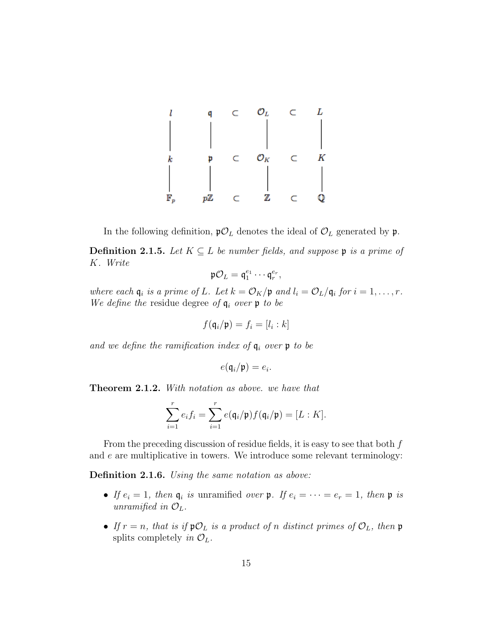

In the following definition,  $\mathfrak{p}\mathcal{O}_L$  denotes the ideal of  $\mathcal{O}_L$  generated by  $\mathfrak{p}$ .

**Definition 2.1.5.** Let  $K \subseteq L$  be number fields, and suppose **p** is a prime of K. Write

$$
\mathfrak{p}\mathcal{O}_L = \mathfrak{q}_1^{e_1} \cdots \mathfrak{q}_r^{e_r},
$$

where each  $\mathfrak{q}_i$  is a prime of L. Let  $k = \mathcal{O}_K/\mathfrak{p}$  and  $l_i = \mathcal{O}_L/\mathfrak{q}_i$  for  $i = 1, \ldots, r$ . We define the residue degree of  $q_i$  over p to be

$$
f(\mathfrak{q}_i/\mathfrak{p})=f_i=[l_i:k]
$$

and we define the ramification index of  $q_i$  over  $p$  to be

$$
e(\mathfrak{q}_i/\mathfrak{p})=e_i.
$$

Theorem 2.1.2. With notation as above. we have that

$$
\sum_{i=1}^r e_i f_i = \sum_{i=1}^r e(\mathfrak{q}_i/\mathfrak{p}) f(\mathfrak{q}_i/\mathfrak{p}) = [L:K].
$$

From the preceding discussion of residue fields, it is easy to see that both f and  $e$  are multiplicative in towers. We introduce some relevant terminology:

Definition 2.1.6. Using the same notation as above:

- If  $e_i = 1$ , then  $\mathfrak{q}_i$  is unramified over  $\mathfrak{p}$ . If  $e_i = \cdots = e_r = 1$ , then  $\mathfrak{p}$  is unramified in  $\mathcal{O}_L$ .
- If  $r = n$ , that is if  $\mathfrak{p} \mathcal{O}_L$  is a product of n distinct primes of  $\mathcal{O}_L$ , then  $\mathfrak{p}$ splits completely in  $\mathcal{O}_L$ .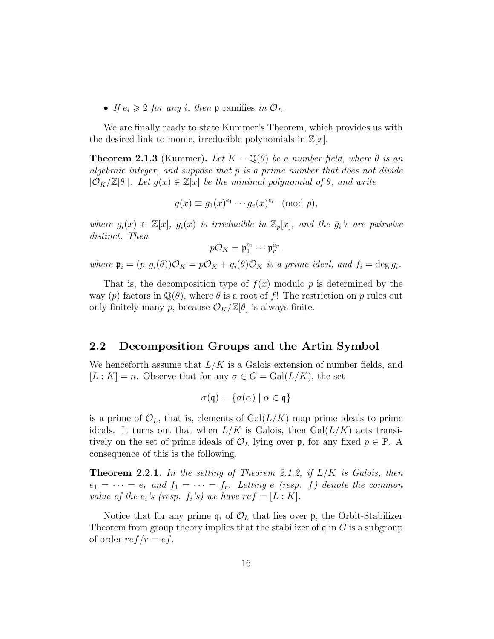• If  $e_i \geqslant 2$  for any i, then **p** ramifies in  $\mathcal{O}_L$ .

We are finally ready to state Kummer's Theorem, which provides us with the desired link to monic, irreducible polynomials in  $\mathbb{Z}[x]$ .

**Theorem 2.1.3** (Kummer). Let  $K = \mathbb{Q}(\theta)$  be a number field, where  $\theta$  is an algebraic integer, and suppose that p is a prime number that does not divide  $|\mathcal{O}_K/\mathbb{Z}[\theta]|$ . Let  $g(x) \in \mathbb{Z}[x]$  be the minimal polynomial of  $\theta$ , and write

$$
g(x) \equiv g_1(x)^{e_1} \cdots g_r(x)^{e_r} \pmod{p},
$$

where  $g_i(x) \in \mathbb{Z}[x], \overline{g_i(x)}$  is irreducible in  $\mathbb{Z}_p[x]$ , and the  $\overline{g_i}$ 's are pairwise distinct. Then

$$
p\mathcal{O}_K=\mathfrak{p}_1^{e_1}\cdots\mathfrak{p}_r^{e_r},
$$

where  $\mathfrak{p}_i = (p, g_i(\theta))\mathcal{O}_K = p\mathcal{O}_K + g_i(\theta)\mathcal{O}_K$  is a prime ideal, and  $f_i = \deg g_i$ .

That is, the decomposition type of  $f(x)$  modulo p is determined by the way (p) factors in  $\mathbb{Q}(\theta)$ , where  $\theta$  is a root of f! The restriction on p rules out only finitely many p, because  $\mathcal{O}_K/\mathbb{Z}[\theta]$  is always finite.

#### 2.2 Decomposition Groups and the Artin Symbol

We henceforth assume that  $L/K$  is a Galois extension of number fields, and  $[L: K] = n$ . Observe that for any  $\sigma \in G = \text{Gal}(L/K)$ , the set

$$
\sigma(\mathfrak{q}) = \{ \sigma(\alpha) \mid \alpha \in \mathfrak{q} \}
$$

is a prime of  $\mathcal{O}_L$ , that is, elements of Gal $(L/K)$  map prime ideals to prime ideals. It turns out that when  $L/K$  is Galois, then  $Gal(L/K)$  acts transitively on the set of prime ideals of  $\mathcal{O}_L$  lying over p, for any fixed  $p \in \mathbb{P}$ . A consequence of this is the following.

**Theorem 2.2.1.** In the setting of Theorem 2.1.2, if  $L/K$  is Galois, then  $e_1 = \cdots = e_r$  and  $f_1 = \cdots = f_r$ . Letting e (resp. f) denote the common value of the  $e_i$ 's (resp.  $f_i$ 's) we have  $ref = [L : K]$ .

Notice that for any prime  $q_i$  of  $\mathcal{O}_L$  that lies over p, the Orbit-Stabilizer Theorem from group theory implies that the stabilizer of  $\mathfrak q$  in G is a subgroup of order  $ref/r = ef$ .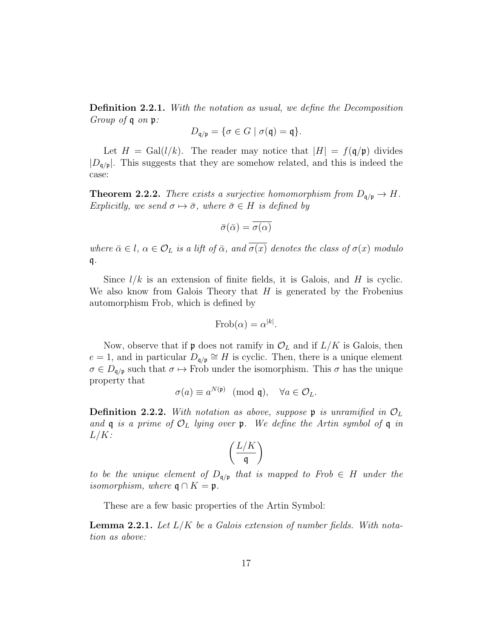Definition 2.2.1. With the notation as usual, we define the Decomposition Group of q on p:

$$
D_{\mathfrak{q}/\mathfrak{p}} = \{ \sigma \in G \mid \sigma(\mathfrak{q}) = \mathfrak{q} \}.
$$

Let  $H = \text{Gal}(l/k)$ . The reader may notice that  $|H| = f(\mathfrak{q}/\mathfrak{p})$  divides  $|D_{\mathfrak{q}/\mathfrak{p}}|$ . This suggests that they are somehow related, and this is indeed the case:

**Theorem 2.2.2.** There exists a surjective homomorphism from  $D_{\mathfrak{q}/\mathfrak{p}} \to H$ . Explicitly, we send  $\sigma \mapsto \bar{\sigma}$ , where  $\bar{\sigma} \in H$  is defined by

$$
\bar{\sigma}(\bar{\alpha}) = \overline{\sigma(\alpha)}
$$

where  $\bar{\alpha} \in l$ ,  $\alpha \in \mathcal{O}_L$  is a lift of  $\bar{\alpha}$ , and  $\overline{\sigma(x)}$  denotes the class of  $\sigma(x)$  modulo q.

Since  $l/k$  is an extension of finite fields, it is Galois, and H is cyclic. We also know from Galois Theory that  $H$  is generated by the Frobenius automorphism Frob, which is defined by

$$
\text{Frob}(\alpha) = \alpha^{|k|}.
$$

Now, observe that if **p** does not ramify in  $\mathcal{O}_L$  and if  $L/K$  is Galois, then  $e = 1$ , and in particular  $D_{\mathfrak{q}/\mathfrak{p}} \cong H$  is cyclic. Then, there is a unique element  $\sigma \in D_{\mathfrak{q}/\mathfrak{p}}$  such that  $\sigma \mapsto \text{Frob}$  under the isomorphism. This  $\sigma$  has the unique property that

$$
\sigma(a) \equiv a^{N(\mathfrak{p})} \pmod{\mathfrak{q}}, \quad \forall a \in \mathcal{O}_L.
$$

**Definition 2.2.2.** With notation as above, suppose  $\mathfrak{p}$  is unramified in  $\mathcal{O}_L$ and  $\mathfrak q$  is a prime of  $\mathcal O_L$  lying over  $\mathfrak p$ . We define the Artin symbol of  $\mathfrak q$  in  $L/K$ :

$$
\left(\frac{L/K}{\mathfrak{q}}\right)
$$

to be the unique element of  $D_{q/p}$  that is mapped to Frob  $\in H$  under the isomorphism, where  $\mathfrak{q} \cap K = \mathfrak{p}$ .

These are a few basic properties of the Artin Symbol:

**Lemma 2.2.1.** Let  $L/K$  be a Galois extension of number fields. With notation as above: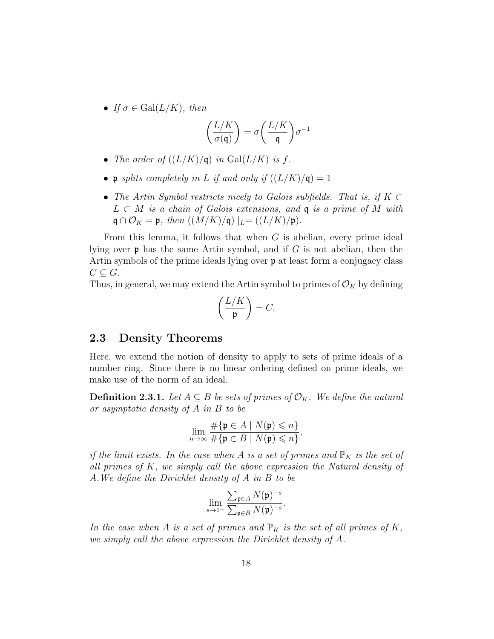• If  $\sigma \in \text{Gal}(L/K)$ , then

$$
\left(\frac{L/K}{\sigma(\mathfrak{q})}\right) = \sigma\left(\frac{L/K}{\mathfrak{q}}\right)\sigma^{-1}
$$

- The order of  $((L/K)/\mathfrak{q})$  in  $Gal(L/K)$  is f.
- p splits completely in L if and only if  $((L/K)/\mathfrak{q}) = 1$
- The Artin Symbol restricts nicely to Galois subfields. That is, if  $K \subset$  $L \subset M$  is a chain of Galois extensions, and q is a prime of M with  $\mathfrak{q} \cap \mathcal{O}_K = \mathfrak{p}, \text{ then } ((M/K)/\mathfrak{q}) \mid_L = ((L/K)/\mathfrak{p}).$

From this lemma, it follows that when  $G$  is abelian, every prime ideal lying over  $\mathfrak p$  has the same Artin symbol, and if G is not abelian, then the Artin symbols of the prime ideals lying over p at least form a conjugacy class  $C \subseteq G$ .

Thus, in general, we may extend the Artin symbol to primes of  $\mathcal{O}_K$  by defining

$$
\left(\frac{L/K}{\mathfrak{p}}\right) = C.
$$

#### 2.3 Density Theorems

Here, we extend the notion of density to apply to sets of prime ideals of a number ring. Since there is no linear ordering defined on prime ideals, we make use of the norm of an ideal.

**Definition 2.3.1.** Let  $A \subseteq B$  be sets of primes of  $\mathcal{O}_K$ . We define the natural or asymptotic density of A in B to be

$$
\lim_{n \to \infty} \frac{\#\{\mathfrak{p} \in A \mid N(\mathfrak{p}) \leq n\}}{\#\{\mathfrak{p} \in B \mid N(\mathfrak{p}) \leq n\}},
$$

if the limit exists. In the case when A is a set of primes and  $\mathbb{P}_K$  is the set of all primes of  $K$ , we simply call the above expression the Natural density of A.We define the Dirichlet density of A in B to be

$$
\lim_{s\to 1^+} \frac{\sum_{\mathfrak{p}\in A} N(\mathfrak{p})^{-s}}{\sum_{\mathfrak{p}\in B} N(\mathfrak{p})^{-s}}.
$$

In the case when A is a set of primes and  $\mathbb{P}_K$  is the set of all primes of K, we simply call the above expression the Dirichlet density of A.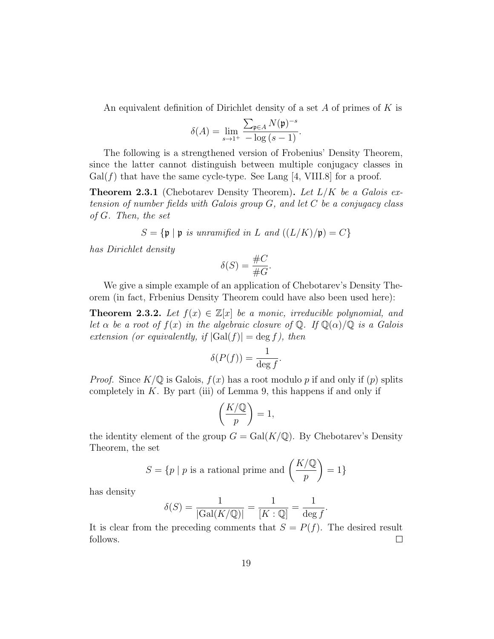An equivalent definition of Dirichlet density of a set  $A$  of primes of  $K$  is

$$
\delta(A) = \lim_{s \to 1^+} \frac{\sum_{\mathfrak{p} \in A} N(\mathfrak{p})^{-s}}{-\log(s-1)}.
$$

The following is a strengthened version of Frobenius' Density Theorem, since the latter cannot distinguish between multiple conjugacy classes in  $Gal(f)$  that have the same cycle-type. See Lang [4, VIII.8] for a proof.

**Theorem 2.3.1** (Chebotarev Density Theorem). Let  $L/K$  be a Galois extension of number fields with Galois group  $G$ , and let  $C$  be a conjugacy class of G. Then, the set

$$
S = \{ \mathfrak{p} \mid \mathfrak{p} \text{ is unramified in } L \text{ and } ((L/K)/\mathfrak{p}) = C \}
$$

has Dirichlet density

$$
\delta(S) = \frac{\#C}{\#G}.
$$

We give a simple example of an application of Chebotarev's Density Theorem (in fact, Frbenius Density Theorem could have also been used here):

**Theorem 2.3.2.** Let  $f(x) \in \mathbb{Z}[x]$  be a monic, irreducible polynomial, and let  $\alpha$  be a root of  $f(x)$  in the algebraic closure of  $\mathbb{Q}$ . If  $\mathbb{Q}(\alpha)/\mathbb{Q}$  is a Galois extension (or equivalently, if  $|Gal(f)| = deg f$ ), then

$$
\delta(P(f)) = \frac{1}{\deg f}.
$$

*Proof.* Since  $K/\mathbb{Q}$  is Galois,  $f(x)$  has a root modulo p if and only if (p) splits completely in  $K$ . By part (iii) of Lemma 9, this happens if and only if

$$
\left(\frac{K/\mathbb{Q}}{p}\right)=1,
$$

the identity element of the group  $G = \text{Gal}(K/\mathbb{Q})$ . By Chebotarev's Density Theorem, the set

$$
S = \{ p \mid p \text{ is a rational prime and } \left( \frac{K/\mathbb{Q}}{p} \right) = 1 \}
$$

has density

$$
\delta(S) = \frac{1}{|\text{Gal}(K/\mathbb{Q})|} = \frac{1}{[K:\mathbb{Q}]} = \frac{1}{\deg f}.
$$

It is clear from the preceding comments that  $S = P(f)$ . The desired result follows.  $\Box$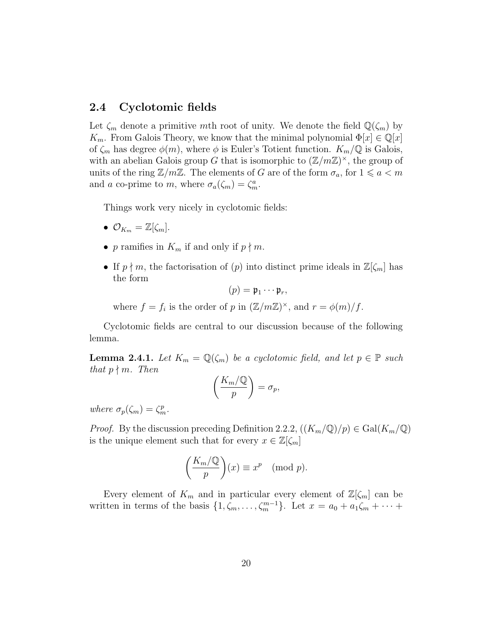#### 2.4 Cyclotomic fields

Let  $\zeta_m$  denote a primitive mth root of unity. We denote the field  $\mathbb{Q}(\zeta_m)$  by  $K_m$ . From Galois Theory, we know that the minimal polynomial  $\Phi[x] \in \mathbb{Q}[x]$ of  $\zeta_m$  has degree  $\phi(m)$ , where  $\phi$  is Euler's Totient function.  $K_m/\mathbb{Q}$  is Galois, with an abelian Galois group G that is isomorphic to  $(\mathbb{Z}/m\mathbb{Z})^{\times}$ , the group of units of the ring  $\mathbb{Z}/m\mathbb{Z}$ . The elements of G are of the form  $\sigma_a$ , for  $1 \leq a \leq m$ and a co-prime to m, where  $\sigma_a(\zeta_m) = \zeta_m^a$ .

Things work very nicely in cyclotomic fields:

- $\mathcal{O}_{K_m} = \mathbb{Z}[\zeta_m].$
- p ramifies in  $K_m$  if and only if  $p \nmid m$ .
- If  $p \nmid m$ , the factorisation of  $(p)$  into distinct prime ideals in  $\mathbb{Z}[\zeta_m]$  has the form

$$
(p)=\mathfrak{p}_1\cdots\mathfrak{p}_r,
$$

where  $f = f_i$  is the order of p in  $(\mathbb{Z}/m\mathbb{Z})^{\times}$ , and  $r = \phi(m)/f$ .

Cyclotomic fields are central to our discussion because of the following lemma.

**Lemma 2.4.1.** Let  $K_m = \mathbb{Q}(\zeta_m)$  be a cyclotomic field, and let  $p \in \mathbb{P}$  such that  $p \nmid m$ . Then

$$
\left(\frac{K_m/\mathbb{Q}}{p}\right)=\sigma_p,
$$

where  $\sigma_p(\zeta_m) = \zeta_m^p$ .

*Proof.* By the discussion preceding Definition 2.2.2,  $((K_m/\mathbb{Q})/p) \in \text{Gal}(K_m/\mathbb{Q})$ is the unique element such that for every  $x \in \mathbb{Z}[\zeta_m]$ 

$$
\left(\frac{K_m/\mathbb{Q}}{p}\right)(x) \equiv x^p \pmod{p}.
$$

Every element of  $K_m$  and in particular every element of  $\mathbb{Z}[\zeta_m]$  can be written in terms of the basis  $\{1, \zeta_m, \ldots, \zeta_m^{m-1}\}$ . Let  $x = a_0 + a_1 \zeta_m + \cdots$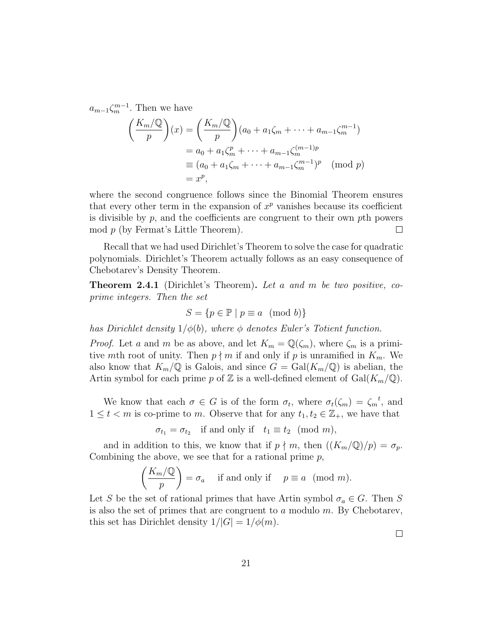$a_{m-1}\zeta_m^{m-1}$ . Then we have

$$
\left(\frac{K_m/\mathbb{Q}}{p}\right)(x) = \left(\frac{K_m/\mathbb{Q}}{p}\right)(a_0 + a_1\zeta_m + \dots + a_{m-1}\zeta_m^{m-1})
$$

$$
= a_0 + a_1\zeta_m^p + \dots + a_{m-1}\zeta_m^{(m-1)p}
$$

$$
\equiv (a_0 + a_1\zeta_m + \dots + a_{m-1}\zeta_m^{m-1})^p \pmod{p}
$$

$$
= x^p,
$$

where the second congruence follows since the Binomial Theorem ensures that every other term in the expansion of  $x^p$  vanishes because its coefficient is divisible by  $p$ , and the coefficients are congruent to their own  $p$ th powers mod p (by Fermat's Little Theorem).  $\Box$ 

Recall that we had used Dirichlet's Theorem to solve the case for quadratic polynomials. Dirichlet's Theorem actually follows as an easy consequence of Chebotarev's Density Theorem.

**Theorem 2.4.1** (Dirichlet's Theorem). Let a and m be two positive, coprime integers. Then the set

$$
S = \{ p \in \mathbb{P} \mid p \equiv a \pmod{b} \}
$$

has Dirichlet density  $1/\phi(b)$ , where  $\phi$  denotes Euler's Totient function.

*Proof.* Let a and m be as above, and let  $K_m = \mathbb{Q}(\zeta_m)$ , where  $\zeta_m$  is a primitive mth root of unity. Then  $p \nmid m$  if and only if p is unramified in  $K_m$ . We also know that  $K_m/\mathbb{Q}$  is Galois, and since  $G = \text{Gal}(K_m/\mathbb{Q})$  is abelian, the Artin symbol for each prime p of Z is a well-defined element of  $Gal(K_m/\mathbb{Q})$ .

We know that each  $\sigma \in G$  is of the form  $\sigma_t$ , where  $\sigma_t(\zeta_m) = \zeta_m^{\ t}$ , and  $1 \leq t < m$  is co-prime to m. Observe that for any  $t_1, t_2 \in \mathbb{Z}_+$ , we have that

 $\sigma_{t_1} = \sigma_{t_2}$  if and only if  $t_1 \equiv t_2 \pmod{m}$ ,

and in addition to this, we know that if  $p \nmid m$ , then  $((K_m/\mathbb{Q})/p) = \sigma_p$ . Combining the above, we see that for a rational prime  $p$ ,

$$
\left(\frac{K_m/\mathbb{Q}}{p}\right) = \sigma_a \quad \text{ if and only if } \quad p \equiv a \pmod{m}.
$$

Let S be the set of rational primes that have Artin symbol  $\sigma_a \in G$ . Then S is also the set of primes that are congruent to  $a$  modulo  $m$ . By Chebotarev, this set has Dirichlet density  $1/|G| = 1/\phi(m)$ .

 $\Box$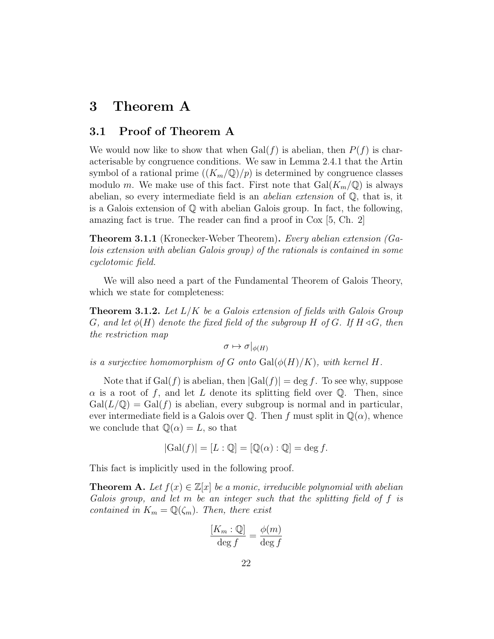## 3 Theorem A

#### 3.1 Proof of Theorem A

We would now like to show that when  $Gal(f)$  is abelian, then  $P(f)$  is characterisable by congruence conditions. We saw in Lemma 2.4.1 that the Artin symbol of a rational prime  $((K_m/\mathbb{Q})/p)$  is determined by congruence classes modulo m. We make use of this fact. First note that  $Gal(K_m/\mathbb{Q})$  is always abelian, so every intermediate field is an *abelian extension* of  $\mathbb{Q}$ , that is, it is a Galois extension of Q with abelian Galois group. In fact, the following, amazing fact is true. The reader can find a proof in Cox [5, Ch. 2]

Theorem 3.1.1 (Kronecker-Weber Theorem). Every abelian extension (Galois extension with abelian Galois group) of the rationals is contained in some cyclotomic field.

We will also need a part of the Fundamental Theorem of Galois Theory, which we state for completeness:

**Theorem 3.1.2.** Let  $L/K$  be a Galois extension of fields with Galois Group G, and let  $\phi(H)$  denote the fixed field of the subgroup H of G. If  $H \triangleleft G$ , then the restriction map

 $\sigma \mapsto \sigma|_{\phi(H)}$ 

is a surjective homomorphism of G onto  $Gal(\phi(H)/K)$ , with kernel H.

Note that if  $Gal(f)$  is abelian, then  $|Gal(f)| = \deg f$ . To see why, suppose  $\alpha$  is a root of f, and let L denote its splitting field over Q. Then, since  $Gal(L/\mathbb{Q}) = Gal(f)$  is abelian, every subgroup is normal and in particular, ever intermediate field is a Galois over Q. Then f must split in  $\mathbb{Q}(\alpha)$ , whence we conclude that  $\mathbb{Q}(\alpha) = L$ , so that

$$
|\mathrm{Gal}(f)| = [L : \mathbb{Q}] = [\mathbb{Q}(\alpha) : \mathbb{Q}] = \deg f.
$$

This fact is implicitly used in the following proof.

**Theorem A.** Let  $f(x) \in \mathbb{Z}[x]$  be a monic, irreducible polynomial with abelian Galois group, and let m be an integer such that the splitting field of f is contained in  $K_m = \mathbb{Q}(\zeta_m)$ . Then, there exist

$$
\frac{[K_m : \mathbb{Q}]}{\deg f} = \frac{\phi(m)}{\deg f}
$$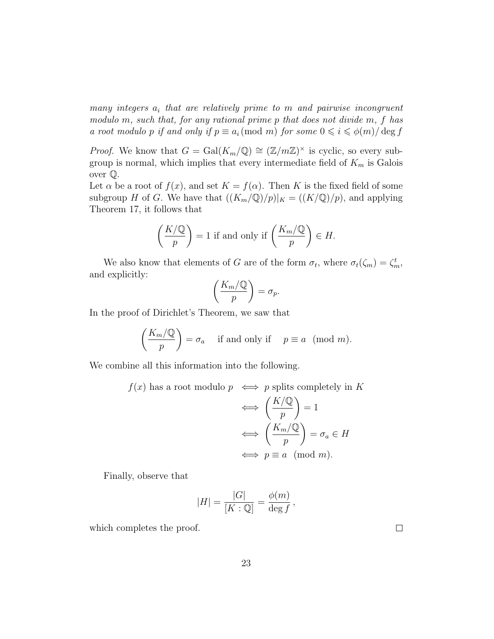many integers  $a_i$  that are relatively prime to m and pairwise incongruent modulo m, such that, for any rational prime p that does not divide m, f has a root modulo p if and only if  $p \equiv a_i \pmod{m}$  for some  $0 \leq i \leq \phi(m)/\deg f$ 

*Proof.* We know that  $G = \text{Gal}(K_m/\mathbb{Q}) \cong (\mathbb{Z}/m\mathbb{Z})^{\times}$  is cyclic, so every subgroup is normal, which implies that every intermediate field of  $K_m$  is Galois over Q.

Let  $\alpha$  be a root of  $f(x)$ , and set  $K = f(\alpha)$ . Then K is the fixed field of some subgroup H of G. We have that  $((K_m/\mathbb{Q})/p)|_K = ((K/\mathbb{Q})/p)$ , and applying Theorem 17, it follows that

$$
\left(\frac{K/\mathbb{Q}}{p}\right) = 1
$$
 if and only if  $\left(\frac{K_m/\mathbb{Q}}{p}\right) \in H$ .

We also know that elements of G are of the form  $\sigma_t$ , where  $\sigma_t(\zeta_m) = \zeta_m^t$ , and explicitly:

$$
\left(\frac{K_m/\mathbb{Q}}{p}\right) = \sigma_p.
$$

In the proof of Dirichlet's Theorem, we saw that

$$
\left(\frac{K_m/\mathbb{Q}}{p}\right) = \sigma_a \quad \text{ if and only if } \quad p \equiv a \pmod{m}.
$$

We combine all this information into the following.

$$
f(x) \text{ has a root modulo } p \iff p \text{ splits completely in } K
$$

$$
\iff \left(\frac{K/\mathbb{Q}}{p}\right) = 1
$$

$$
\iff \left(\frac{K_m/\mathbb{Q}}{p}\right) = \sigma_a \in H
$$

$$
\iff p \equiv a \pmod{m}.
$$

Finally, observe that

$$
|H| = \frac{|G|}{[K:\mathbb{Q}]} = \frac{\phi(m)}{\deg f},
$$

which completes the proof.

 $\Box$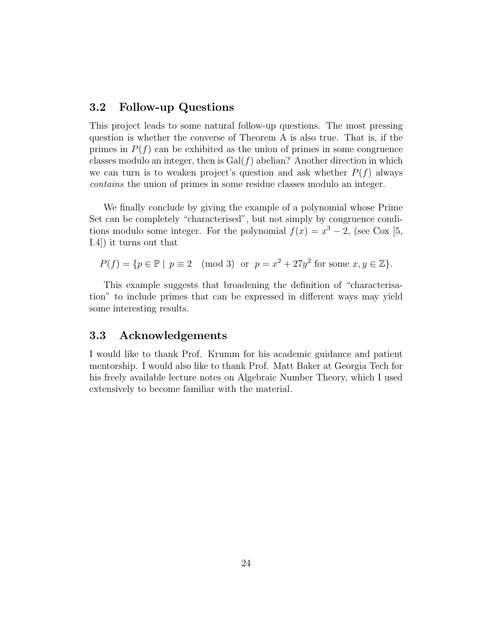#### 3.2 Follow-up Questions

This project leads to some natural follow-up questions. The most pressing question is whether the converse of Theorem A is also true. That is, if the primes in  $P(f)$  can be exhibited as the union of primes in some congruence classes modulo an integer, then is  $Gal(f)$  abelian? Another direction in which we can turn is to weaken project's question and ask whether  $P(f)$  always contains the union of primes in some residue classes modulo an integer.

We finally conclude by giving the example of a polynomial whose Prime Set can be completely "characterised", but not simply by congruence conditions modulo some integer. For the polynomial  $f(x) = x^3 - 2$ , (see Cox [5, I.4]) it turns out that

 $P(f) = \{p \in \mathbb{P} \mid p \equiv 2 \pmod{3} \text{ or } p = x^2 + 27y^2 \text{ for some } x, y \in \mathbb{Z}\}.$ 

This example suggests that broadening the definition of "characterisation" to include primes that can be expressed in different ways may yield some interesting results.

#### 3.3 Acknowledgements

I would like to thank Prof. Krumm for his academic guidance and patient mentorship. I would also like to thank Prof. Matt Baker at Georgia Tech for his freely available lecture notes on Algebraic Number Theory, which I used extensively to become familiar with the material.